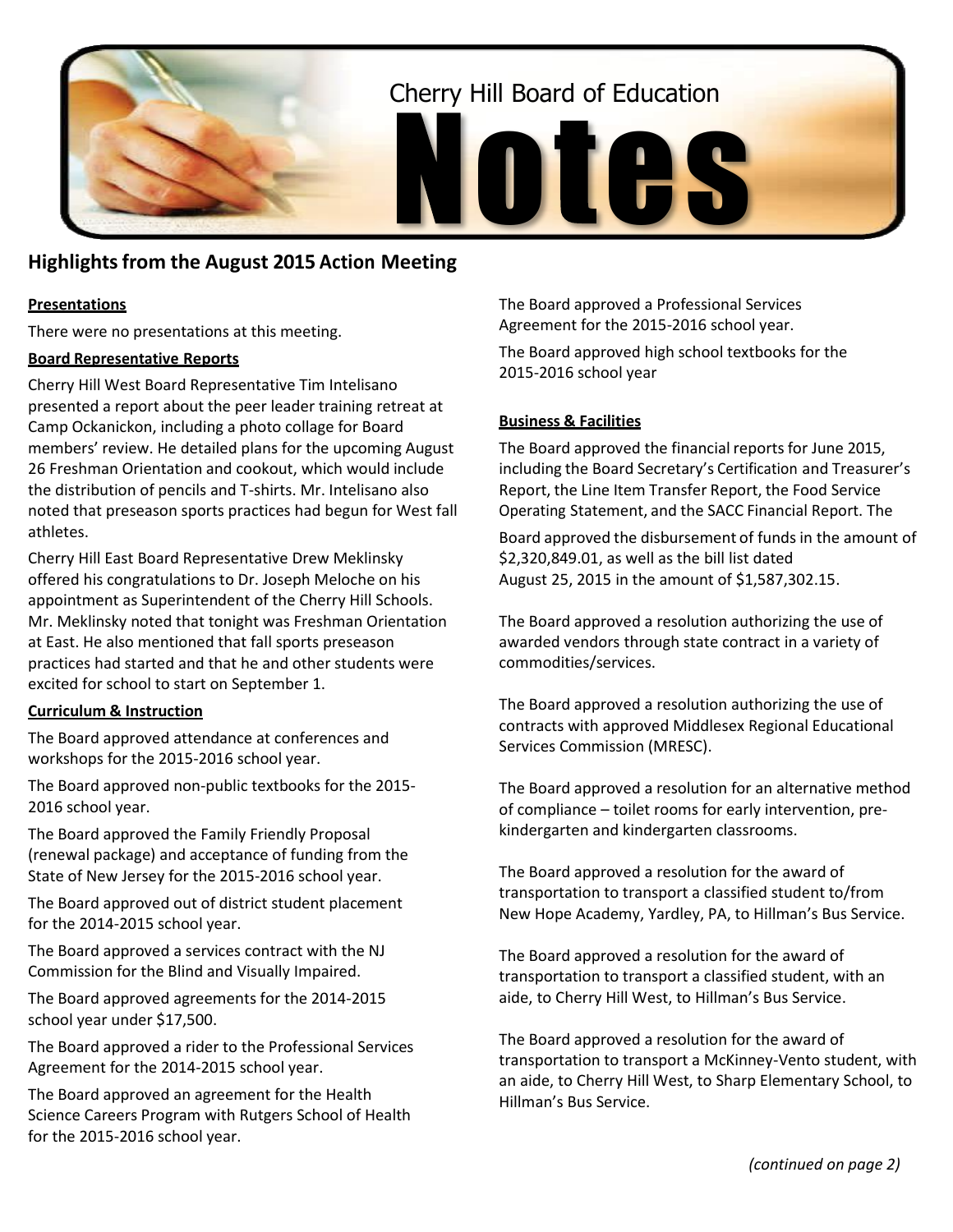

# **Highlightsfrom the August 2015 Action Meeting**

# **Presentations**

There were no presentations at this meeting.

#### **Board Representative Reports**

Cherry Hill West Board Representative Tim Intelisano presented a report about the peer leader training retreat at Camp Ockanickon, including a photo collage for Board members' review. He detailed plans for the upcoming August 26 Freshman Orientation and cookout, which would include the distribution of pencils and T-shirts. Mr. Intelisano also noted that preseason sports practices had begun for West fall athletes.

Cherry Hill East Board Representative Drew Meklinsky offered his congratulations to Dr. Joseph Meloche on his appointment as Superintendent of the Cherry Hill Schools. Mr. Meklinsky noted that tonight was Freshman Orientation at East. He also mentioned that fall sports preseason practices had started and that he and other students were excited for school to start on September 1.

## **Curriculum & Instruction**

The Board approved attendance at conferences and workshops for the 2015-2016 school year.

The Board approved non-public textbooks for the 2015- 2016 school year.

The Board approved the Family Friendly Proposal (renewal package) and acceptance of funding from the State of New Jersey for the 2015-2016 school year.

The Board approved out of district student placement for the 2014-2015 school year.

The Board approved a services contract with the NJ Commission for the Blind and Visually Impaired.

The Board approved agreements for the 2014-2015 school year under \$17,500.

The Board approved a rider to the Professional Services Agreement for the 2014-2015 school year.

The Board approved an agreement for the Health Science Careers Program with Rutgers School of Health for the 2015-2016 school year.

The Board approved a Professional Services Agreement for the 2015-2016 school year.

The Board approved high school textbooks for the 2015-2016 school year

#### **Business & Facilities**

The Board approved the financial reports for June 2015, including the Board Secretary's Certification and Treasurer's Report, the Line Item Transfer Report, the Food Service Operating Statement, and the SACC Financial Report. The

Board approved the disbursement of funds in the amount of \$2,320,849.01, as well as the bill list dated August 25, 2015 in the amount of \$1,587,302.15.

The Board approved a resolution authorizing the use of awarded vendors through state contract in a variety of commodities/services.

The Board approved a resolution authorizing the use of contracts with approved Middlesex Regional Educational Services Commission (MRESC).

The Board approved a resolution for an alternative method of compliance – toilet rooms for early intervention, prekindergarten and kindergarten classrooms.

The Board approved a resolution for the award of transportation to transport a classified student to/from New Hope Academy, Yardley, PA, to Hillman's Bus Service.

The Board approved a resolution for the award of transportation to transport a classified student, with an aide, to Cherry Hill West, to Hillman's Bus Service.

The Board approved a resolution for the award of transportation to transport a McKinney-Vento student, with an aide, to Cherry Hill West, to Sharp Elementary School, to Hillman's Bus Service.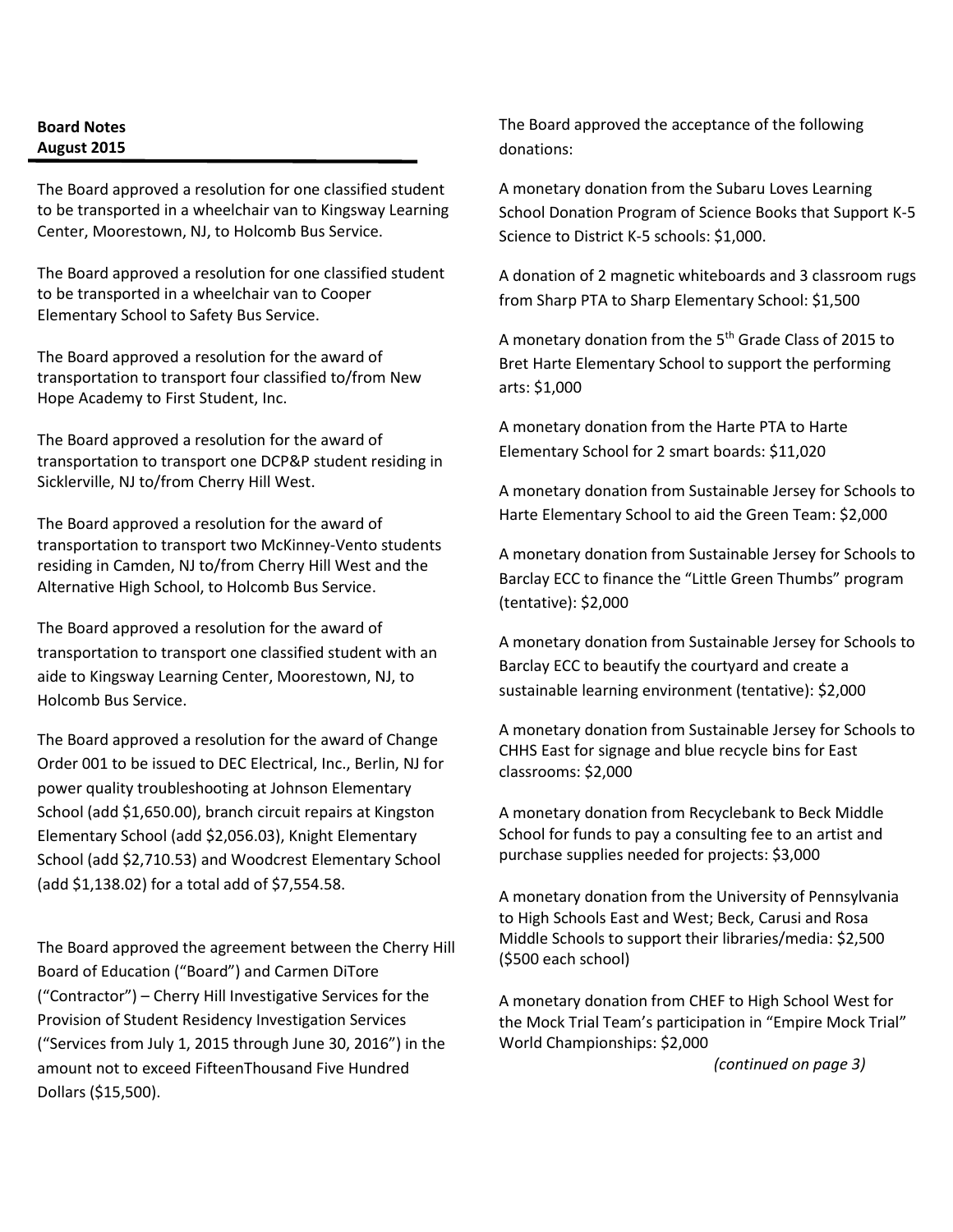# **Board Notes August 2015**

The Board approved a resolution for one classified student to be transported in a wheelchair van to Kingsway Learning Center, Moorestown, NJ, to Holcomb Bus Service.

The Board approved a resolution for one classified student to be transported in a wheelchair van to Cooper Elementary School to Safety Bus Service.

The Board approved a resolution for the award of transportation to transport four classified to/from New Hope Academy to First Student, Inc.

The Board approved a resolution for the award of transportation to transport one DCP&P student residing in Sicklerville, NJ to/from Cherry Hill West.

The Board approved a resolution for the award of transportation to transport two McKinney-Vento students residing in Camden, NJ to/from Cherry Hill West and the Alternative High School, to Holcomb Bus Service.

The Board approved a resolution for the award of transportation to transport one classified student with an aide to Kingsway Learning Center, Moorestown, NJ, to Holcomb Bus Service.

The Board approved a resolution for the award of Change Order 001 to be issued to DEC Electrical, Inc., Berlin, NJ for power quality troubleshooting at Johnson Elementary School (add \$1,650.00), branch circuit repairs at Kingston Elementary School (add \$2,056.03), Knight Elementary School (add \$2,710.53) and Woodcrest Elementary School (add \$1,138.02) for a total add of \$7,554.58.

The Board approved the agreement between the Cherry Hill Board of Education ("Board") and Carmen DiTore ("Contractor") – Cherry Hill Investigative Services for the Provision of Student Residency Investigation Services ("Services from July 1, 2015 through June 30, 2016") in the amount not to exceed FifteenThousand Five Hundred Dollars (\$15,500).

The Board approved the acceptance of the following donations:

A monetary donation from the Subaru Loves Learning School Donation Program of Science Books that Support K-5 Science to District K-5 schools: \$1,000.

A donation of 2 magnetic whiteboards and 3 classroom rugs from Sharp PTA to Sharp Elementary School: \$1,500

A monetary donation from the 5<sup>th</sup> Grade Class of 2015 to Bret Harte Elementary School to support the performing arts: \$1,000

A monetary donation from the Harte PTA to Harte Elementary School for 2 smart boards: \$11,020

A monetary donation from Sustainable Jersey for Schools to Harte Elementary School to aid the Green Team: \$2,000

A monetary donation from Sustainable Jersey for Schools to Barclay ECC to finance the "Little Green Thumbs" program (tentative): \$2,000

A monetary donation from Sustainable Jersey for Schools to Barclay ECC to beautify the courtyard and create a sustainable learning environment (tentative): \$2,000

A monetary donation from Sustainable Jersey for Schools to CHHS East for signage and blue recycle bins for East classrooms: \$2,000

A monetary donation from Recyclebank to Beck Middle School for funds to pay a consulting fee to an artist and purchase supplies needed for projects: \$3,000

A monetary donation from the University of Pennsylvania to High Schools East and West; Beck, Carusi and Rosa Middle Schools to support their libraries/media: \$2,500 (\$500 each school)

A monetary donation from CHEF to High School West for the Mock Trial Team's participation in "Empire Mock Trial" World Championships: \$2,000

*(continued on page 3)*